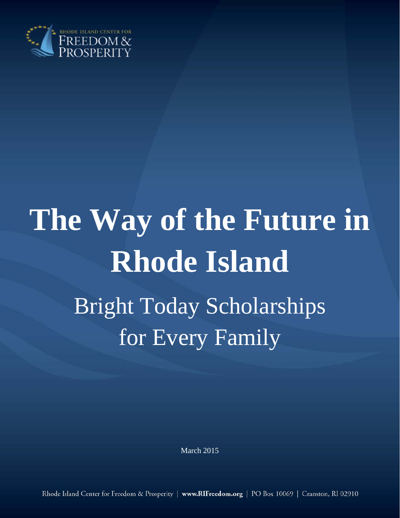

# **The Way of the Future in Rhode Island** Bright Today Scholarships for Every Family

March 2015

Rhode Island Center for Freedom & Prosperity | www.RIFreedom.org | PO Box 10069 | Cranston, RI 02910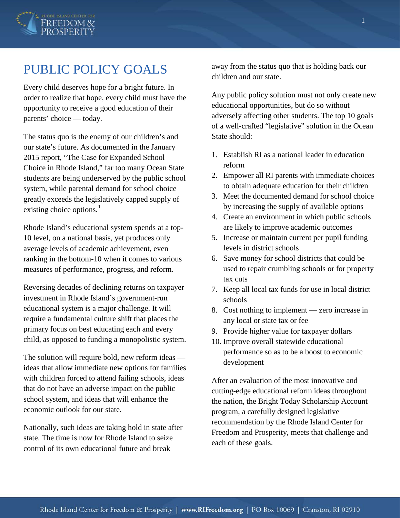

# PUBLIC POLICY GOALS

Every child deserves hope for a bright future. In order to realize that hope, every child must have the opportunity to receive a good education of their parents' choice — today.

The status quo is the enemy of our children's and our state's future. As documented in the January 2015 report, "The Case for Expanded School Choice in Rhode Island," far too many Ocean State students are being underserved by the public school system, while parental demand for school choice greatly exceeds the legislatively capped supply of existing choice options. $\frac{1}{1}$  $\frac{1}{1}$  $\frac{1}{1}$ 

Rhode Island's educational system spends at a top-10 level, on a national basis, yet produces only average levels of academic achievement, even ranking in the bottom-10 when it comes to various measures of performance, progress, and reform.

Reversing decades of declining returns on taxpayer investment in Rhode Island's government-run educational system is a major challenge. It will require a fundamental culture shift that places the primary focus on best educating each and every child, as opposed to funding a monopolistic system.

The solution will require bold, new reform ideas ideas that allow immediate new options for families with children forced to attend failing schools, ideas that do not have an adverse impact on the public school system, and ideas that will enhance the economic outlook for our state.

Nationally, such ideas are taking hold in state after state. The time is now for Rhode Island to seize control of its own educational future and break

away from the status quo that is holding back our children and our state.

Any public policy solution must not only create new educational opportunities, but do so without adversely affecting other students. The top 10 goals of a well-crafted "legislative" solution in the Ocean State should:

- 1. Establish RI as a national leader in education reform
- 2. Empower all RI parents with immediate choices to obtain adequate education for their children
- 3. Meet the documented demand for school choice by increasing the supply of available options
- 4. Create an environment in which public schools are likely to improve academic outcomes
- 5. Increase or maintain current per pupil funding levels in district schools
- 6. Save money for school districts that could be used to repair crumbling schools or for property tax cuts
- 7. Keep all local tax funds for use in local district schools
- 8. Cost nothing to implement zero increase in any local or state tax or fee
- 9. Provide higher value for taxpayer dollars
- 10. Improve overall statewide educational performance so as to be a boost to economic development

After an evaluation of the most innovative and cutting-edge educational reform ideas throughout the nation, the Bright Today Scholarship Account program, a carefully designed legislative recommendation by the Rhode Island Center for Freedom and Prosperity, meets that challenge and each of these goals.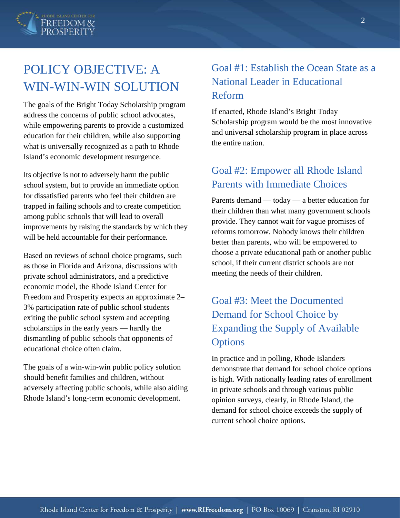

# POLICY OBJECTIVE: A WIN-WIN-WIN SOLUTION

The goals of the Bright Today Scholarship program address the concerns of public school advocates, while empowering parents to provide a customized education for their children, while also supporting what is universally recognized as a path to Rhode Island's economic development resurgence.

Its objective is not to adversely harm the public school system, but to provide an immediate option for dissatisfied parents who feel their children are trapped in failing schools and to create competition among public schools that will lead to overall improvements by raising the standards by which they will be held accountable for their performance.

Based on reviews of school choice programs, such as those in Florida and Arizona, discussions with private school administrators, and a predictive economic model, the Rhode Island Center for Freedom and Prosperity expects an approximate 2– 3% participation rate of public school students exiting the public school system and accepting scholarships in the early years — hardly the dismantling of public schools that opponents of educational choice often claim.

The goals of a win-win-win public policy solution should benefit families and children, without adversely affecting public schools, while also aiding Rhode Island's long-term economic development.

## Goal #1: Establish the Ocean State as a National Leader in Educational Reform

If enacted, Rhode Island's Bright Today Scholarship program would be the most innovative and universal scholarship program in place across the entire nation.

## Goal #2: Empower all Rhode Island Parents with Immediate Choices

Parents demand — today — a better education for their children than what many government schools provide. They cannot wait for vague promises of reforms tomorrow. Nobody knows their children better than parents, who will be empowered to choose a private educational path or another public school, if their current district schools are not meeting the needs of their children.

## Goal #3: Meet the Documented Demand for School Choice by Expanding the Supply of Available **Options**

In practice and in polling, Rhode Islanders demonstrate that demand for school choice options is high. With nationally leading rates of enrollment in private schools and through various public opinion surveys, clearly, in Rhode Island, the demand for school choice exceeds the supply of current school choice options.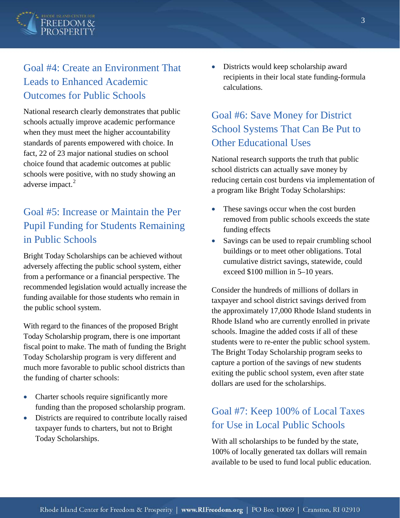

## Goal #4: Create an Environment That Leads to Enhanced Academic Outcomes for Public Schools

National research clearly demonstrates that public schools actually improve academic performance when they must meet the higher accountability standards of parents empowered with choice. In fact, 22 of 23 major national studies on school choice found that academic outcomes at public schools were positive, with no study showing an adverse impact.<sup>[2](#page-14-1)</sup>

## Goal #5: Increase or Maintain the Per Pupil Funding for Students Remaining in Public Schools

Bright Today Scholarships can be achieved without adversely affecting the public school system, either from a performance or a financial perspective. The recommended legislation would actually increase the funding available for those students who remain in the public school system.

With regard to the finances of the proposed Bright Today Scholarship program, there is one important fiscal point to make. The math of funding the Bright Today Scholarship program is very different and much more favorable to public school districts than the funding of charter schools:

- Charter schools require significantly more funding than the proposed scholarship program.
- Districts are required to contribute locally raised taxpayer funds to charters, but not to Bright Today Scholarships.

• Districts would keep scholarship award recipients in their local state funding-formula calculations.

## Goal #6: Save Money for District School Systems That Can Be Put to Other Educational Uses

National research supports the truth that public school districts can actually save money by reducing certain cost burdens via implementation of a program like Bright Today Scholarships:

- These savings occur when the cost burden removed from public schools exceeds the state funding effects
- Savings can be used to repair crumbling school buildings or to meet other obligations. Total cumulative district savings, statewide, could exceed \$100 million in 5–10 years.

Consider the hundreds of millions of dollars in taxpayer and school district savings derived from the approximately 17,000 Rhode Island students in Rhode Island who are currently enrolled in private schools. Imagine the added costs if all of these students were to re-enter the public school system. The Bright Today Scholarship program seeks to capture a portion of the savings of new students exiting the public school system, even after state dollars are used for the scholarships.

## Goal #7: Keep 100% of Local Taxes for Use in Local Public Schools

With all scholarships to be funded by the state, 100% of locally generated tax dollars will remain available to be used to fund local public education.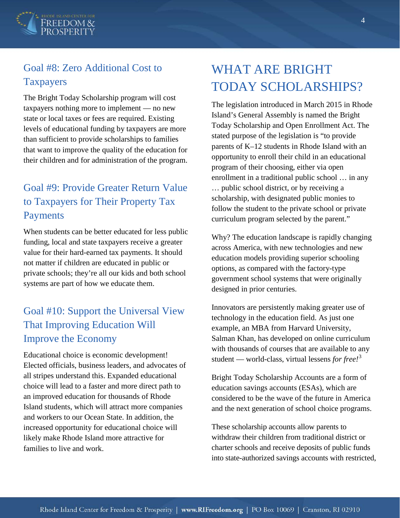

## Goal #8: Zero Additional Cost to Taxpayers

The Bright Today Scholarship program will cost taxpayers nothing more to implement — no new state or local taxes or fees are required. Existing levels of educational funding by taxpayers are more than sufficient to provide scholarships to families that want to improve the quality of the education for their children and for administration of the program.

## Goal #9: Provide Greater Return Value to Taxpayers for Their Property Tax Payments

When students can be better educated for less public funding, local and state taxpayers receive a greater value for their hard-earned tax payments. It should not matter if children are educated in public or private schools; they're all our kids and both school systems are part of how we educate them.

## Goal #10: Support the Universal View That Improving Education Will Improve the Economy

Educational choice is economic development! Elected officials, business leaders, and advocates of all stripes understand this. Expanded educational choice will lead to a faster and more direct path to an improved education for thousands of Rhode Island students, which will attract more companies and workers to our Ocean State. In addition, the increased opportunity for educational choice will likely make Rhode Island more attractive for families to live and work.

# WHAT ARE BRIGHT TODAY SCHOLARSHIPS?

The legislation introduced in March 2015 in Rhode Island's General Assembly is named the Bright Today Scholarship and Open Enrollment Act. The stated purpose of the legislation is "to provide parents of K–12 students in Rhode Island with an opportunity to enroll their child in an educational program of their choosing, either via open enrollment in a traditional public school … in any … public school district, or by receiving a scholarship, with designated public monies to follow the student to the private school or private curriculum program selected by the parent."

Why? The education landscape is rapidly changing across America, with new technologies and new education models providing superior schooling options, as compared with the factory-type government school systems that were originally designed in prior centuries.

Innovators are persistently making greater use of technology in the education field. As just one example, an MBA from Harvard University, Salman Khan, has developed on online curriculum with thousands of courses that are available to any student — world-class, virtual lessens *for free!*[3](#page-14-2)

Bright Today Scholarship Accounts are a form of education savings accounts (ESAs), which are considered to be the wave of the future in America and the next generation of school choice programs.

These scholarship accounts allow parents to withdraw their children from traditional district or charter schools and receive deposits of public funds into state-authorized savings accounts with restricted,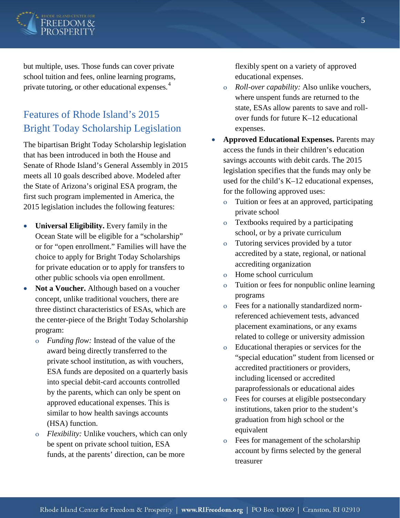

but multiple, uses. Those funds can cover private school tuition and fees, online learning programs, private tutoring, or other educational expenses.<sup>[4](#page-14-3)</sup>

## Features of Rhode Island's 2015 Bright Today Scholarship Legislation

The bipartisan Bright Today Scholarship legislation that has been introduced in both the House and Senate of Rhode Island's General Assembly in 2015 meets all 10 goals described above. Modeled after the State of Arizona's original ESA program, the first such program implemented in America, the 2015 legislation includes the following features:

- **Universal Eligibility.** Every family in the Ocean State will be eligible for a "scholarship" or for "open enrollment." Families will have the choice to apply for Bright Today Scholarships for private education or to apply for transfers to other public schools via open enrollment.
- **Not a Voucher.** Although based on a voucher concept, unlike traditional vouchers, there are three distinct characteristics of ESAs, which are the center-piece of the Bright Today Scholarship program:
	- o *Funding flow:* Instead of the value of the award being directly transferred to the private school institution, as with vouchers, ESA funds are deposited on a quarterly basis into special debit-card accounts controlled by the parents, which can only be spent on approved educational expenses. This is similar to how health savings accounts (HSA) function.
	- o *Flexibility:* Unlike vouchers, which can only be spent on private school tuition, ESA funds, at the parents' direction, can be more

flexibly spent on a variety of approved educational expenses.

- o *Roll-over capability:* Also unlike vouchers, where unspent funds are returned to the state, ESAs allow parents to save and rollover funds for future K–12 educational expenses.
- **Approved Educational Expenses.** Parents may access the funds in their children's education savings accounts with debit cards. The 2015 legislation specifies that the funds may only be used for the child's K–12 educational expenses, for the following approved uses:
	- o Tuition or fees at an approved, participating private school
	- o Textbooks required by a participating school, or by a private curriculum
	- o Tutoring services provided by a tutor accredited by a state, regional, or national accrediting organization
	- o Home school curriculum
	- o Tuition or fees for nonpublic online learning programs
	- o Fees for a nationally standardized normreferenced achievement tests, advanced placement examinations, or any exams related to college or university admission
	- o Educational therapies or services for the "special education" student from licensed or accredited practitioners or providers, including licensed or accredited paraprofessionals or educational aides
	- o Fees for courses at eligible postsecondary institutions, taken prior to the student's graduation from high school or the equivalent
	- o Fees for management of the scholarship account by firms selected by the general treasurer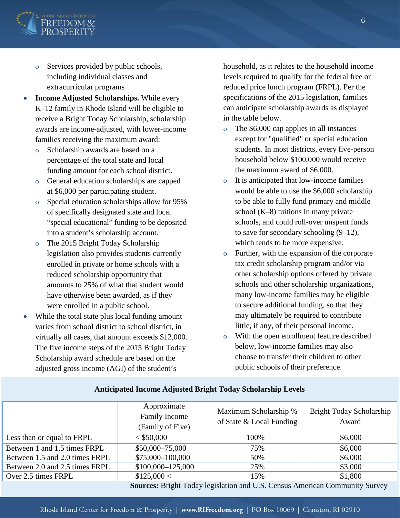

- o Services provided by public schools, including individual classes and extracurricular programs
- **Income Adjusted Scholarships.** While every K–12 family in Rhode Island will be eligible to receive a Bright Today Scholarship, scholarship awards are income-adjusted, with lower-income families receiving the maximum award:
	- o Scholarship awards are based on a percentage of the total state and local funding amount for each school district.
	- o General education scholarships are capped at \$6,000 per participating student.
	- o Special education scholarships allow for 95% of specifically designated state and local "special educational" funding to be deposited into a student's scholarship account.
	- o The 2015 Bright Today Scholarship legislation also provides students currently enrolled in private or home schools with a reduced scholarship opportunity that amounts to 25% of what that student would have otherwise been awarded, as if they were enrolled in a public school.
- While the total state plus local funding amount varies from school district to school district, in virtually all cases, that amount exceeds \$12,000. The five income steps of the 2015 Bright Today Scholarship award schedule are based on the adjusted gross income (AGI) of the student's

household, as it relates to the household income levels required to qualify for the federal free or reduced price lunch program (FRPL). Per the specifications of the 2015 legislation, families can anticipate scholarship awards as displayed in the table below.

- o The \$6,000 cap applies in all instances except for "qualified" or special education students. In most districts, every five-person household below \$100,000 would receive the maximum award of \$6,000.
- o It is anticipated that low-income families would be able to use the \$6,000 scholarship to be able to fully fund primary and middle school (K–8) tuitions in many private schools, and could roll-over unspent funds to save for secondary schooling (9–12), which tends to be more expensive.
- o Further, with the expansion of the corporate tax credit scholarship program and/or via other scholarship options offered by private schools and other scholarship organizations, many low-income families may be eligible to secure additional funding, so that they may ultimately be required to contribute little, if any, of their personal income.
- With the open enrollment feature described below, low-income families may also choose to transfer their children to other public schools of their preference.

|                                                                                                                                                                                                                                                                 | Approximate<br><b>Family Income</b><br>(Family of Five) | Maximum Scholarship %<br>of State & Local Funding | Bright Today Scholarship<br>Award |
|-----------------------------------------------------------------------------------------------------------------------------------------------------------------------------------------------------------------------------------------------------------------|---------------------------------------------------------|---------------------------------------------------|-----------------------------------|
| Less than or equal to FRPL                                                                                                                                                                                                                                      | < \$50,000                                              | 100%                                              | \$6,000                           |
| Between 1 and 1.5 times FRPL                                                                                                                                                                                                                                    | $$50,000-75,000$                                        | 75%                                               | \$6,000                           |
| Between 1.5 and 2.0 times FRPL                                                                                                                                                                                                                                  | \$75,000-100,000                                        | 50%                                               | \$6,000                           |
| Between 2.0 and 2.5 times FRPL                                                                                                                                                                                                                                  | $$100,000-125,000$                                      | 25%                                               | \$3,000                           |
| Over 2.5 times FRPL                                                                                                                                                                                                                                             | \$125,000 <                                             | 15%                                               | \$1,800                           |
| $\Omega$ according $D_0$ , $A_1$ , $D_2$ , $A_3$ , $A_4$ , $A_5$ , $A_6$ , $A_7$ , $A_8$ , $A_7$ , $A_8$ , $A_9$ , $A_9$ , $A_1$ , $A_2$ , $A_3$ , $A_4$ , $A_5$ , $A_7$ , $A_8$ , $A_9$ , $A_9$ , $A_9$ , $A_9$ , $A_9$ , $A_9$ , $A_9$ , $A_9$ , $A_9$ , $A_$ |                                                         |                                                   |                                   |

#### **Anticipated Income Adjusted Bright Today Scholarship Levels**

**Sources:** Bright Today legislation and U.S. Census American Community Survey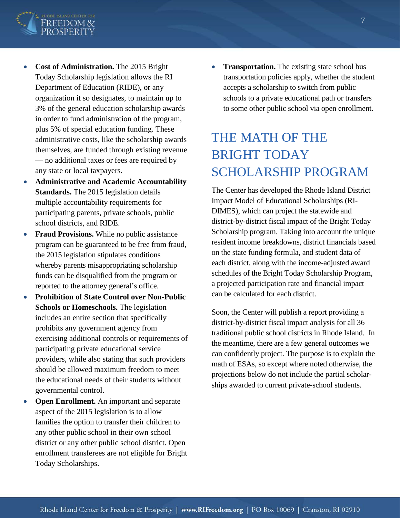

- **Cost of Administration.** The 2015 Bright Today Scholarship legislation allows the RI Department of Education (RIDE), or any organization it so designates, to maintain up to 3% of the general education scholarship awards in order to fund administration of the program, plus 5% of special education funding. These administrative costs, like the scholarship awards themselves, are funded through existing revenue — no additional taxes or fees are required by any state or local taxpayers.
- **Administrative and Academic Accountability Standards.** The 2015 legislation details multiple accountability requirements for participating parents, private schools, public school districts, and RIDE.
- **Fraud Provisions.** While no public assistance program can be guaranteed to be free from fraud, the 2015 legislation stipulates conditions whereby parents misappropriating scholarship funds can be disqualified from the program or reported to the attorney general's office.
- **Prohibition of State Control over Non-Public Schools or Homeschools.** The legislation includes an entire section that specifically prohibits any government agency from exercising additional controls or requirements of participating private educational service providers, while also stating that such providers should be allowed maximum freedom to meet the educational needs of their students without governmental control.
- **Open Enrollment.** An important and separate aspect of the 2015 legislation is to allow families the option to transfer their children to any other public school in their own school district or any other public school district. Open enrollment transferees are not eligible for Bright Today Scholarships.

• **Transportation.** The existing state school bus transportation policies apply, whether the student accepts a scholarship to switch from public schools to a private educational path or transfers to some other public school via open enrollment.

# THE MATH OF THE BRIGHT TODAY SCHOLARSHIP PROGRAM

The Center has developed the Rhode Island District Impact Model of Educational Scholarships (RI-DIMES), which can project the statewide and district-by-district fiscal impact of the Bright Today Scholarship program. Taking into account the unique resident income breakdowns, district financials based on the state funding formula, and student data of each district, along with the income-adjusted award schedules of the Bright Today Scholarship Program, a projected participation rate and financial impact can be calculated for each district.

Soon, the Center will publish a report providing a district-by-district fiscal impact analysis for all 36 traditional public school districts in Rhode Island. In the meantime, there are a few general outcomes we can confidently project. The purpose is to explain the math of ESAs, so except where noted otherwise, the projections below do not include the partial scholarships awarded to current private-school students.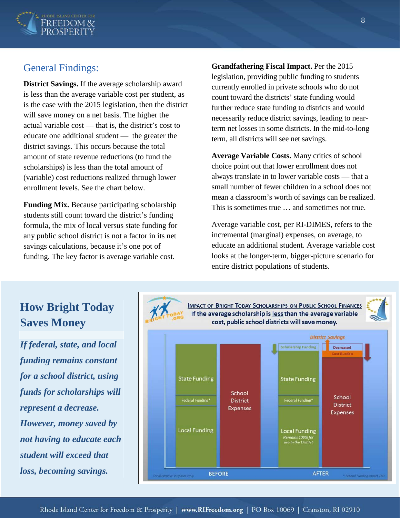

### General Findings:

**District Savings.** If the average scholarship award is less than the average variable cost per student, as is the case with the 2015 legislation, then the district will save money on a net basis. The higher the actual variable cost — that is, the district's cost to educate one additional student — the greater the district savings. This occurs because the total amount of state revenue reductions (to fund the scholarships) is less than the total amount of (variable) cost reductions realized through lower enrollment levels. See the chart below.

**Funding Mix.** Because participating scholarship students still count toward the district's funding formula, the mix of local versus state funding for any public school district is not a factor in its net savings calculations, because it's one pot of funding. The key factor is average variable cost.

**Grandfathering Fiscal Impact.** Per the 2015 legislation, providing public funding to students currently enrolled in private schools who do not count toward the districts' state funding would further reduce state funding to districts and would necessarily reduce district savings, leading to nearterm net losses in some districts. In the mid-to-long term, all districts will see net savings.

**Average Variable Costs.** Many critics of school choice point out that lower enrollment does not always translate in to lower variable costs — that a small number of fewer children in a school does not mean a classroom's worth of savings can be realized. This is sometimes true … and sometimes not true.

Average variable cost, per RI-DIMES, refers to the incremental (marginal) expenses, on average, to educate an additional student. Average variable cost looks at the longer-term, bigger-picture scenario for entire district populations of students.

# **How Bright Today Saves Money**

*If federal, state, and local funding remains constant for a school district, using funds for scholarships will represent a decrease. However, money saved by not having to educate each student will exceed that loss, becoming savings.*

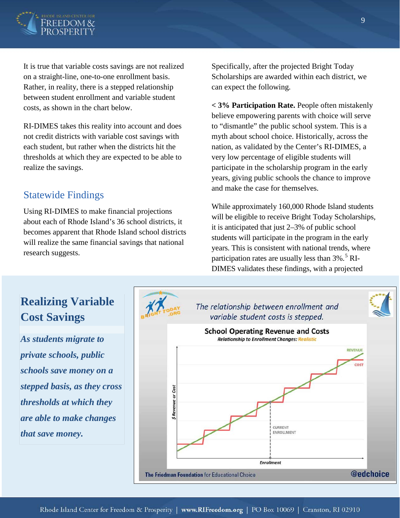

It is true that variable costs savings are not realized on a straight-line, one-to-one enrollment basis. Rather, in reality, there is a stepped relationship between student enrollment and variable student costs, as shown in the chart below.

RI-DIMES takes this reality into account and does not credit districts with variable cost savings with each student, but rather when the districts hit the thresholds at which they are expected to be able to realize the savings.

#### Statewide Findings

Using RI-DIMES to make financial projections about each of Rhode Island's 36 school districts, it becomes apparent that Rhode Island school districts will realize the same financial savings that national research suggests.

Specifically, after the projected Bright Today Scholarships are awarded within each district, we can expect the following.

**< 3% Participation Rate.** People often mistakenly believe empowering parents with choice will serve to "dismantle" the public school system. This is a myth about school choice. Historically, across the nation, as validated by the Center's RI-DIMES, a very low percentage of eligible students will participate in the scholarship program in the early years, giving public schools the chance to improve and make the case for themselves.

While approximately 160,000 Rhode Island students will be eligible to receive Bright Today Scholarships, it is anticipated that just 2–3% of public school students will participate in the program in the early years. This is consistent with national trends, where participation rates are usually less than  $3\%$ .<sup>[5](#page-14-4)</sup> RI-DIMES validates these findings, with a projected

#### **Realizing Variable**  The relationship between enrollment and **Cost Savings** variable student costs is stepped. **School Operating Revenue and Costs** *As students migrate to*  **Relationship to Enrollment Changes: Realistic REVENUE** *private schools, public schools save money on a stepped basis, as they cross*  \$ Revenue or Cost *thresholds at which they are able to make changes*  CURRENT ENROLLMENT *that save money.***Enrollment @edchoice** The Friedman Foundation for Educational Choice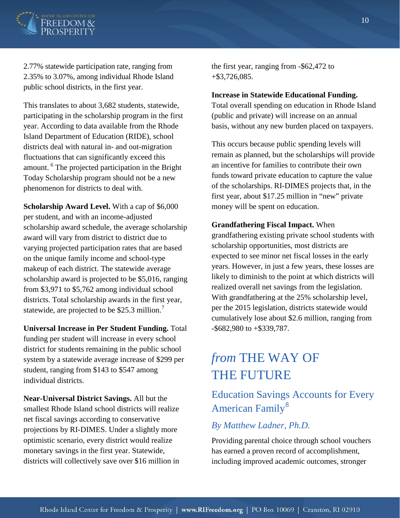

2.77% statewide participation rate, ranging from 2.35% to 3.07%, among individual Rhode Island public school districts, in the first year.

This translates to about 3,682 students, statewide, participating in the scholarship program in the first year. According to data available from the Rhode Island Department of Education (RIDE), school districts deal with natural in- and out-migration fluctuations that can significantly exceed this amount. [6](#page-14-5) The projected participation in the Bright Today Scholarship program should not be a new phenomenon for districts to deal with.

**Scholarship Award Level.** With a cap of \$6,000 per student, and with an income-adjusted scholarship award schedule, the average scholarship award will vary from district to district due to varying projected participation rates that are based on the unique family income and school-type makeup of each district. The statewide average scholarship award is projected to be \$5,016, ranging from \$3,971 to \$5,762 among individual school districts. Total scholarship awards in the first year, statewide, are projected to be \$25.3 million.<sup>[7](#page-14-6)</sup>

**Universal Increase in Per Student Funding.** Total funding per student will increase in every school district for students remaining in the public school system by a statewide average increase of \$299 per student, ranging from \$143 to \$547 among individual districts.

**Near-Universal District Savings.** All but the smallest Rhode Island school districts will realize net fiscal savings according to conservative projections by RI-DIMES. Under a slightly more optimistic scenario, every district would realize monetary savings in the first year. Statewide, districts will collectively save over \$16 million in the first year, ranging from -\$62,472 to +\$3,726,085.

#### **Increase in Statewide Educational Funding.**

Total overall spending on education in Rhode Island (public and private) will increase on an annual basis, without any new burden placed on taxpayers.

This occurs because public spending levels will remain as planned, but the scholarships will provide an incentive for families to contribute their own funds toward private education to capture the value of the scholarships. RI-DIMES projects that, in the first year, about \$17.25 million in "new" private money will be spent on education.

#### **Grandfathering Fiscal Impact.** When

grandfathering existing private school students with scholarship opportunities, most districts are expected to see minor net fiscal losses in the early years. However, in just a few years, these losses are likely to diminish to the point at which districts will realized overall net savings from the legislation. With grandfathering at the 25% scholarship level, per the 2015 legislation, districts statewide would cumulatively lose about \$2.6 million, ranging from -\$682,980 to +\$339,787.

# *from* THE WAY OF THE FUTURE

## Education Savings Accounts for Every American Family<sup>[8](#page-14-7)</sup>

#### *By Matthew Ladner, Ph.D.*

Providing parental choice through school vouchers has earned a proven record of accomplishment, including improved academic outcomes, stronger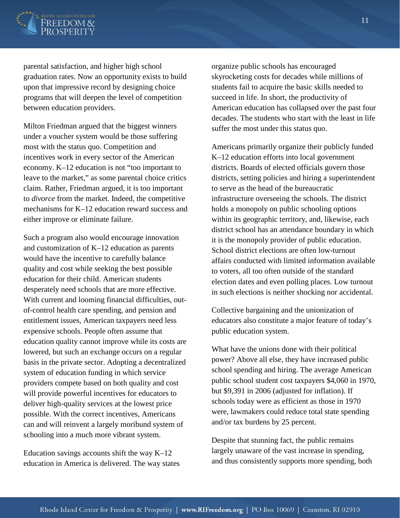

parental satisfaction, and higher high school graduation rates. Now an opportunity exists to build upon that impressive record by designing choice programs that will deepen the level of competition between education providers.

Milton Friedman argued that the biggest winners under a voucher system would be those suffering most with the status quo. Competition and incentives work in every sector of the American economy. K–12 education is not "too important to leave to the market," as some parental choice critics claim. Rather, Friedman argued, it is too important to *divorce* from the market. Indeed, the competitive mechanisms for K–12 education reward success and either improve or eliminate failure.

Such a program also would encourage innovation and customization of K–12 education as parents would have the incentive to carefully balance quality and cost while seeking the best possible education for their child. American students desperately need schools that are more effective. With current and looming financial difficulties, outof-control health care spending, and pension and entitlement issues, American taxpayers need less expensive schools. People often assume that education quality cannot improve while its costs are lowered, but such an exchange occurs on a regular basis in the private sector. Adopting a decentralized system of education funding in which service providers compete based on both quality and cost will provide powerful incentives for educators to deliver high-quality services at the lowest price possible. With the correct incentives, Americans can and will reinvent a largely moribund system of schooling into a much more vibrant system.

Education savings accounts shift the way  $K-12$ education in America is delivered. The way states organize public schools has encouraged skyrocketing costs for decades while millions of students fail to acquire the basic skills needed to succeed in life. In short, the productivity of American education has collapsed over the past four decades. The students who start with the least in life suffer the most under this status quo.

Americans primarily organize their publicly funded K–12 education efforts into local government districts. Boards of elected officials govern those districts, setting policies and hiring a superintendent to serve as the head of the bureaucratic infrastructure overseeing the schools. The district holds a monopoly on public schooling options within its geographic territory, and, likewise, each district school has an attendance boundary in which it is the monopoly provider of public education. School district elections are often low-turnout affairs conducted with limited information available to voters, all too often outside of the standard election dates and even polling places. Low turnout in such elections is neither shocking nor accidental.

Collective bargaining and the unionization of educators also constitute a major feature of today's public education system.

What have the unions done with their political power? Above all else, they have increased public school spending and hiring. The average American public school student cost taxpayers \$4,060 in 1970, but \$9,391 in 2006 (adjusted for inflation). If schools today were as efficient as those in 1970 were, lawmakers could reduce total state spending and/or tax burdens by 25 percent.

Despite that stunning fact, the public remains largely unaware of the vast increase in spending, and thus consistently supports more spending, both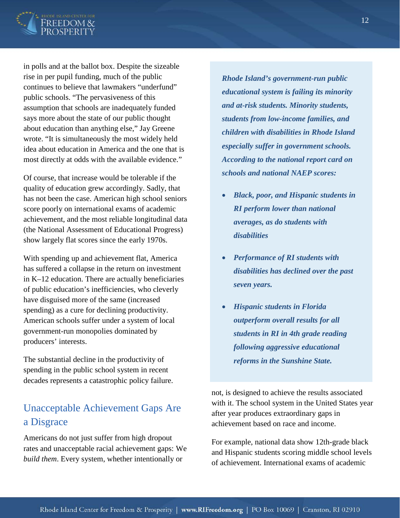

in polls and at the ballot box. Despite the sizeable rise in per pupil funding, much of the public continues to believe that lawmakers "underfund" public schools. "The pervasiveness of this assumption that schools are inadequately funded says more about the state of our public thought about education than anything else," Jay Greene wrote. "It is simultaneously the most widely held idea about education in America and the one that is most directly at odds with the available evidence."

Of course, that increase would be tolerable if the quality of education grew accordingly. Sadly, that has not been the case. American high school seniors score poorly on international exams of academic achievement, and the most reliable longitudinal data (the National Assessment of Educational Progress) show largely flat scores since the early 1970s.

With spending up and achievement flat, America has suffered a collapse in the return on investment in K–12 education. There are actually beneficiaries of public education's inefficiencies, who cleverly have disguised more of the same (increased spending) as a cure for declining productivity. American schools suffer under a system of local government-run monopolies dominated by producers' interests.

The substantial decline in the productivity of spending in the public school system in recent decades represents a catastrophic policy failure.

## Unacceptable Achievement Gaps Are a Disgrace

Americans do not just suffer from high dropout rates and unacceptable racial achievement gaps: We *build them*. Every system, whether intentionally or

*Rhode Island's government-run public educational system is failing its minority and at-risk students. Minority students, students from low-income families, and children with disabilities in Rhode Island especially suffer in government schools. According to the national report card on schools and national NAEP scores:*

- *Black, poor, and Hispanic students in RI perform lower than national averages, as do students with disabilities*
- *Performance of RI students with disabilities has declined over the past seven years.*
- *Hispanic students in Florida outperform overall results for all students in RI in 4th grade reading following aggressive educational reforms in the Sunshine State.*

not, is designed to achieve the results associated with it. The school system in the United States year after year produces extraordinary gaps in achievement based on race and income.

For example, national data show 12th-grade black and Hispanic students scoring middle school levels of achievement. International exams of academic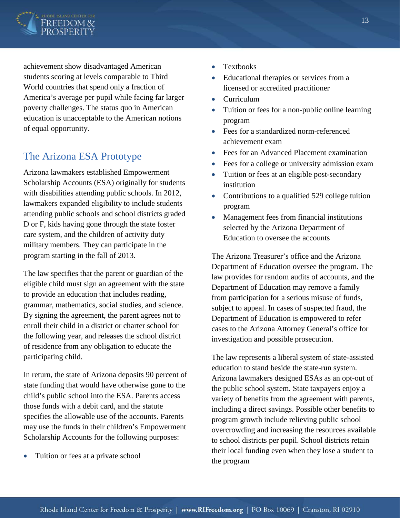

achievement show disadvantaged American students scoring at levels comparable to Third World countries that spend only a fraction of America's average per pupil while facing far larger poverty challenges. The status quo in American education is unacceptable to the American notions of equal opportunity.

## The Arizona ESA Prototype

Arizona lawmakers established Empowerment Scholarship Accounts (ESA) originally for students with disabilities attending public schools. In 2012, lawmakers expanded eligibility to include students attending public schools and school districts graded D or F, kids having gone through the state foster care system, and the children of activity duty military members. They can participate in the program starting in the fall of 2013.

The law specifies that the parent or guardian of the eligible child must sign an agreement with the state to provide an education that includes reading, grammar, mathematics, social studies, and science. By signing the agreement, the parent agrees not to enroll their child in a district or charter school for the following year, and releases the school district of residence from any obligation to educate the participating child.

In return, the state of Arizona deposits 90 percent of state funding that would have otherwise gone to the child's public school into the ESA. Parents access those funds with a debit card, and the statute specifies the allowable use of the accounts. Parents may use the funds in their children's Empowerment Scholarship Accounts for the following purposes:

• Tuition or fees at a private school

- Textbooks
- Educational therapies or services from a licensed or accredited practitioner
- Curriculum
- Tuition or fees for a non-public online learning program
- Fees for a standardized norm-referenced achievement exam
- Fees for an Advanced Placement examination
- Fees for a college or university admission exam
- Tuition or fees at an eligible post-secondary institution
- Contributions to a qualified 529 college tuition program
- Management fees from financial institutions selected by the Arizona Department of Education to oversee the accounts

The Arizona Treasurer's office and the Arizona Department of Education oversee the program. The law provides for random audits of accounts, and the Department of Education may remove a family from participation for a serious misuse of funds, subject to appeal. In cases of suspected fraud, the Department of Education is empowered to refer cases to the Arizona Attorney General's office for investigation and possible prosecution.

The law represents a liberal system of state-assisted education to stand beside the state-run system. Arizona lawmakers designed ESAs as an opt-out of the public school system. State taxpayers enjoy a variety of benefits from the agreement with parents, including a direct savings. Possible other benefits to program growth include relieving public school overcrowding and increasing the resources available to school districts per pupil. School districts retain their local funding even when they lose a student to the program